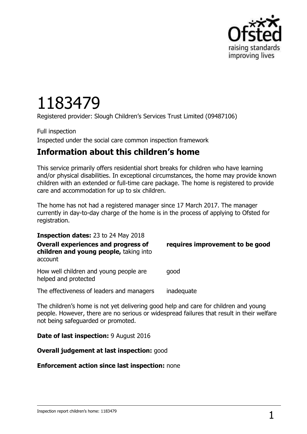

# 1183479

Registered provider: Slough Children's Services Trust Limited (09487106)

Full inspection Inspected under the social care common inspection framework

# **Information about this children's home**

This service primarily offers residential short breaks for children who have learning and/or physical disabilities. In exceptional circumstances, the home may provide known children with an extended or full-time care package. The home is registered to provide care and accommodation for up to six children.

The home has not had a registered manager since 17 March 2017. The manager currently in day-to-day charge of the home is in the process of applying to Ofsted for registration.

**Inspection dates:** 23 to 24 May 2018 **Overall experiences and progress of children and young people,** taking into account **requires improvement to be good** How well children and young people are helped and protected good

The effectiveness of leaders and managers inadequate

The children's home is not yet delivering good help and care for children and young people. However, there are no serious or widespread failures that result in their welfare not being safeguarded or promoted.

#### **Date of last inspection:** 9 August 2016

#### **Overall judgement at last inspection:** good

#### **Enforcement action since last inspection:** none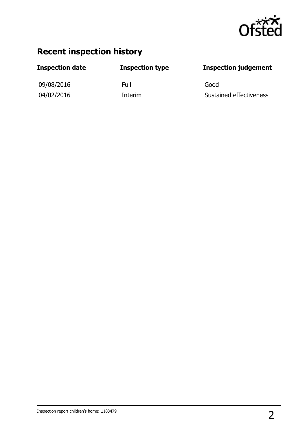

# **Recent inspection history**

09/08/2016 Full Good

### **Inspection date Inspection type Inspection judgement**

04/02/2016 Interim Sustained effectiveness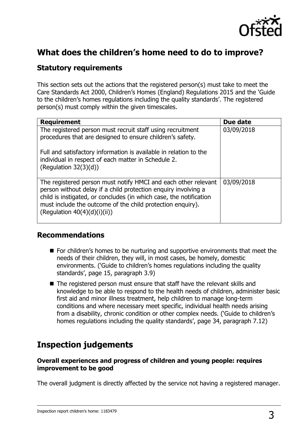

# **What does the children's home need to do to improve?**

### **Statutory requirements**

This section sets out the actions that the registered person(s) must take to meet the Care Standards Act 2000, Children's Homes (England) Regulations 2015 and the 'Guide to the children's homes regulations including the quality standards'. The registered person(s) must comply within the given timescales.

| <b>Requirement</b>                                                                                                                                                                                                                                                                                      | Due date   |
|---------------------------------------------------------------------------------------------------------------------------------------------------------------------------------------------------------------------------------------------------------------------------------------------------------|------------|
| The registered person must recruit staff using recruitment<br>procedures that are designed to ensure children's safety.                                                                                                                                                                                 | 03/09/2018 |
| Full and satisfactory information is available in relation to the<br>individual in respect of each matter in Schedule 2.<br>(Regulation $32(3)(d)$ )                                                                                                                                                    |            |
| The registered person must notify HMCI and each other relevant<br>person without delay if a child protection enquiry involving a<br>child is instigated, or concludes (in which case, the notification<br>must include the outcome of the child protection enquiry).<br>(Regulation $40(4)(d)(i)(ii)$ ) | 03/09/2018 |

#### **Recommendations**

- For children's homes to be nurturing and supportive environments that meet the needs of their children, they will, in most cases, be homely, domestic environments. ('Guide to children's homes regulations including the quality standards', page 15, paragraph 3.9)
- The registered person must ensure that staff have the relevant skills and knowledge to be able to respond to the health needs of children, administer basic first aid and minor illness treatment, help children to manage long-term conditions and where necessary meet specific, individual health needs arising from a disability, chronic condition or other complex needs. ('Guide to children's homes regulations including the quality standards', page 34, paragraph 7.12)

# **Inspection judgements**

#### **Overall experiences and progress of children and young people: requires improvement to be good**

The overall judgment is directly affected by the service not having a registered manager.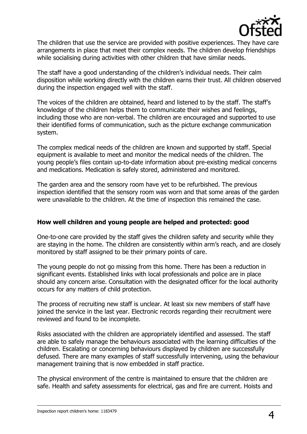

The children that use the service are provided with positive experiences. They have care arrangements in place that meet their complex needs. The children develop friendships while socialising during activities with other children that have similar needs.

The staff have a good understanding of the children's individual needs. Their calm disposition while working directly with the children earns their trust. All children observed during the inspection engaged well with the staff.

The voices of the children are obtained, heard and listened to by the staff. The staff's knowledge of the children helps them to communicate their wishes and feelings, including those who are non-verbal. The children are encouraged and supported to use their identified forms of communication, such as the picture exchange communication system.

The complex medical needs of the children are known and supported by staff. Special equipment is available to meet and monitor the medical needs of the children. The young people's files contain up-to-date information about pre-existing medical concerns and medications. Medication is safely stored, administered and monitored.

The garden area and the sensory room have yet to be refurbished. The previous inspection identified that the sensory room was worn and that some areas of the garden were unavailable to the children. At the time of inspection this remained the case.

#### **How well children and young people are helped and protected: good**

One-to-one care provided by the staff gives the children safety and security while they are staying in the home. The children are consistently within arm's reach, and are closely monitored by staff assigned to be their primary points of care.

The young people do not go missing from this home. There has been a reduction in significant events. Established links with local professionals and police are in place should any concern arise. Consultation with the designated officer for the local authority occurs for any matters of child protection.

The process of recruiting new staff is unclear. At least six new members of staff have joined the service in the last year. Electronic records regarding their recruitment were reviewed and found to be incomplete.

Risks associated with the children are appropriately identified and assessed. The staff are able to safely manage the behaviours associated with the learning difficulties of the children. Escalating or concerning behaviours displayed by children are successfully defused. There are many examples of staff successfully intervening, using the behaviour management training that is now embedded in staff practice.

The physical environment of the centre is maintained to ensure that the children are safe. Health and safety assessments for electrical, gas and fire are current. Hoists and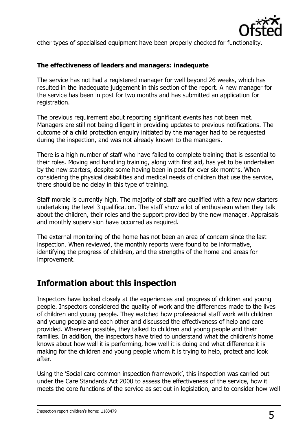

other types of specialised equipment have been properly checked for functionality.

#### **The effectiveness of leaders and managers: inadequate**

The service has not had a registered manager for well beyond 26 weeks, which has resulted in the inadequate judgement in this section of the report. A new manager for the service has been in post for two months and has submitted an application for registration.

The previous requirement about reporting significant events has not been met. Managers are still not being diligent in providing updates to previous notifications. The outcome of a child protection enquiry initiated by the manager had to be requested during the inspection, and was not already known to the managers.

There is a high number of staff who have failed to complete training that is essential to their roles. Moving and handling training, along with first aid, has yet to be undertaken by the new starters, despite some having been in post for over six months. When considering the physical disabilities and medical needs of children that use the service, there should be no delay in this type of training.

Staff morale is currently high. The majority of staff are qualified with a few new starters undertaking the level 3 qualification. The staff show a lot of enthusiasm when they talk about the children, their roles and the support provided by the new manager. Appraisals and monthly supervision have occurred as required.

The external monitoring of the home has not been an area of concern since the last inspection. When reviewed, the monthly reports were found to be informative, identifying the progress of children, and the strengths of the home and areas for improvement.

## **Information about this inspection**

Inspectors have looked closely at the experiences and progress of children and young people. Inspectors considered the quality of work and the differences made to the lives of children and young people. They watched how professional staff work with children and young people and each other and discussed the effectiveness of help and care provided. Wherever possible, they talked to children and young people and their families. In addition, the inspectors have tried to understand what the children's home knows about how well it is performing, how well it is doing and what difference it is making for the children and young people whom it is trying to help, protect and look after.

Using the 'Social care common inspection framework', this inspection was carried out under the Care Standards Act 2000 to assess the effectiveness of the service, how it meets the core functions of the service as set out in legislation, and to consider how well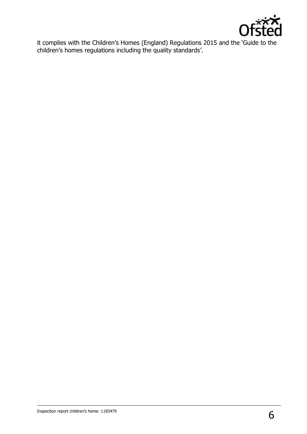

it complies with the Children's Homes (England) Regulations 2015 and the 'Guide to the children's homes regulations including the quality standards'.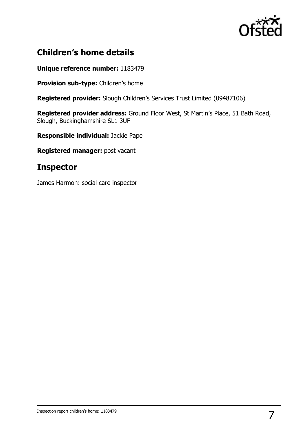

# **Children's home details**

#### **Unique reference number:** 1183479

**Provision sub-type:** Children's home

**Registered provider:** Slough Children's Services Trust Limited (09487106)

**Registered provider address:** Ground Floor West, St Martin's Place, 51 Bath Road, Slough, Buckinghamshire SL1 3UF

**Responsible individual:** Jackie Pape

**Registered manager:** post vacant

# **Inspector**

James Harmon: social care inspector